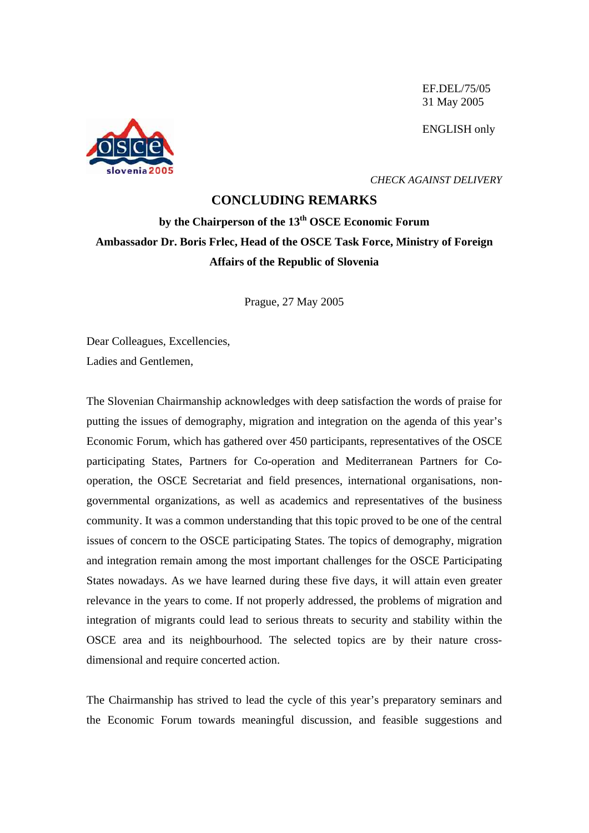EF.DEL/75/05 31 May 2005

ENGLISH only



*CHECK AGAINST DELIVERY* 

## **CONCLUDING REMARKS**

## **by the Chairperson of the 13th OSCE Economic Forum Ambassador Dr. Boris Frlec, Head of the OSCE Task Force, Ministry of Foreign Affairs of the Republic of Slovenia**

Prague, 27 May 2005

Dear Colleagues, Excellencies, Ladies and Gentlemen,

The Slovenian Chairmanship acknowledges with deep satisfaction the words of praise for putting the issues of demography, migration and integration on the agenda of this year's Economic Forum, which has gathered over 450 participants, representatives of the OSCE participating States, Partners for Co-operation and Mediterranean Partners for Cooperation, the OSCE Secretariat and field presences, international organisations, nongovernmental organizations, as well as academics and representatives of the business community. It was a common understanding that this topic proved to be one of the central issues of concern to the OSCE participating States. The topics of demography, migration and integration remain among the most important challenges for the OSCE Participating States nowadays. As we have learned during these five days, it will attain even greater relevance in the years to come. If not properly addressed, the problems of migration and integration of migrants could lead to serious threats to security and stability within the OSCE area and its neighbourhood. The selected topics are by their nature crossdimensional and require concerted action.

The Chairmanship has strived to lead the cycle of this year's preparatory seminars and the Economic Forum towards meaningful discussion, and feasible suggestions and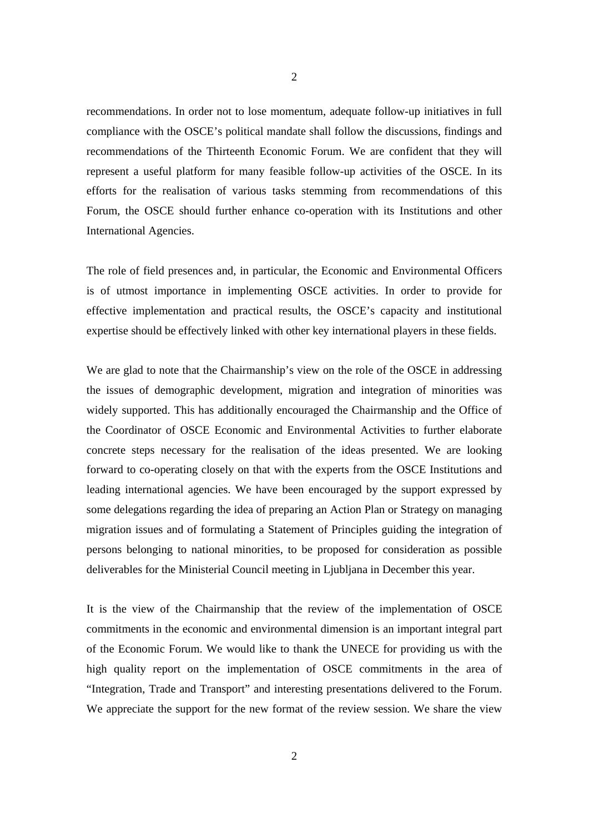recommendations. In order not to lose momentum, adequate follow-up initiatives in full compliance with the OSCE's political mandate shall follow the discussions, findings and recommendations of the Thirteenth Economic Forum. We are confident that they will represent a useful platform for many feasible follow-up activities of the OSCE. In its efforts for the realisation of various tasks stemming from recommendations of this Forum, the OSCE should further enhance co-operation with its Institutions and other International Agencies.

The role of field presences and, in particular, the Economic and Environmental Officers is of utmost importance in implementing OSCE activities. In order to provide for effective implementation and practical results, the OSCE's capacity and institutional expertise should be effectively linked with other key international players in these fields.

We are glad to note that the Chairmanship's view on the role of the OSCE in addressing the issues of demographic development, migration and integration of minorities was widely supported. This has additionally encouraged the Chairmanship and the Office of the Coordinator of OSCE Economic and Environmental Activities to further elaborate concrete steps necessary for the realisation of the ideas presented. We are looking forward to co-operating closely on that with the experts from the OSCE Institutions and leading international agencies. We have been encouraged by the support expressed by some delegations regarding the idea of preparing an Action Plan or Strategy on managing migration issues and of formulating a Statement of Principles guiding the integration of persons belonging to national minorities, to be proposed for consideration as possible deliverables for the Ministerial Council meeting in Ljubljana in December this year.

It is the view of the Chairmanship that the review of the implementation of OSCE commitments in the economic and environmental dimension is an important integral part of the Economic Forum. We would like to thank the UNECE for providing us with the high quality report on the implementation of OSCE commitments in the area of "Integration, Trade and Transport" and interesting presentations delivered to the Forum. We appreciate the support for the new format of the review session. We share the view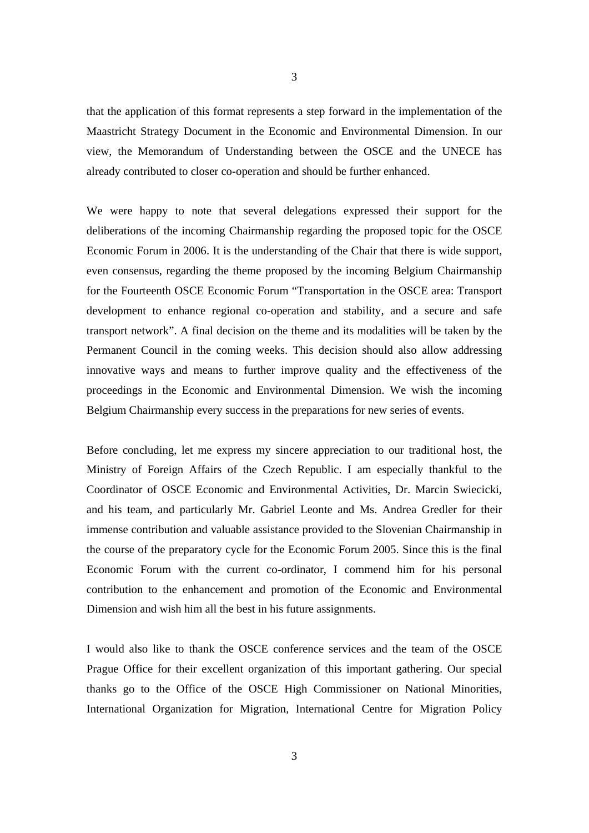that the application of this format represents a step forward in the implementation of the Maastricht Strategy Document in the Economic and Environmental Dimension. In our view, the Memorandum of Understanding between the OSCE and the UNECE has already contributed to closer co-operation and should be further enhanced.

We were happy to note that several delegations expressed their support for the deliberations of the incoming Chairmanship regarding the proposed topic for the OSCE Economic Forum in 2006. It is the understanding of the Chair that there is wide support, even consensus, regarding the theme proposed by the incoming Belgium Chairmanship for the Fourteenth OSCE Economic Forum "Transportation in the OSCE area: Transport development to enhance regional co-operation and stability, and a secure and safe transport network". A final decision on the theme and its modalities will be taken by the Permanent Council in the coming weeks. This decision should also allow addressing innovative ways and means to further improve quality and the effectiveness of the proceedings in the Economic and Environmental Dimension. We wish the incoming Belgium Chairmanship every success in the preparations for new series of events.

Before concluding, let me express my sincere appreciation to our traditional host, the Ministry of Foreign Affairs of the Czech Republic. I am especially thankful to the Coordinator of OSCE Economic and Environmental Activities, Dr. Marcin Swiecicki, and his team, and particularly Mr. Gabriel Leonte and Ms. Andrea Gredler for their immense contribution and valuable assistance provided to the Slovenian Chairmanship in the course of the preparatory cycle for the Economic Forum 2005. Since this is the final Economic Forum with the current co-ordinator, I commend him for his personal contribution to the enhancement and promotion of the Economic and Environmental Dimension and wish him all the best in his future assignments.

I would also like to thank the OSCE conference services and the team of the OSCE Prague Office for their excellent organization of this important gathering. Our special thanks go to the Office of the OSCE High Commissioner on National Minorities, International Organization for Migration, International Centre for Migration Policy